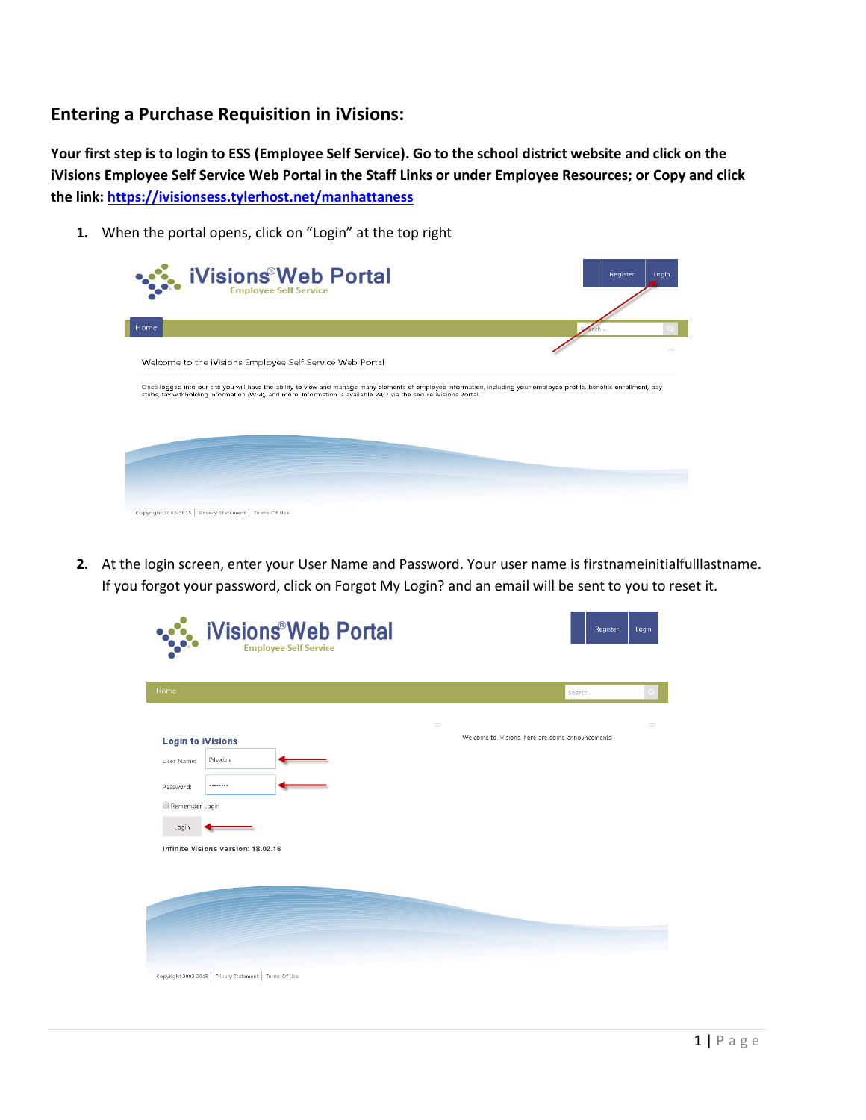# **Entering a Purchase Requisition in iVisions:**

**Your first step is to login to ESS (Employee Self Service). Go to the school district website and click on the iVisions Employee Self Service Web Portal in the Staff Links or under Employee Resources; or Copy and click the link:<https://ivisionsess.tylerhost.net/manhattaness>**

**1.** When the portal opens, click on "Login" at the top right

| <b>iVisions<sup>®</sup>Web Portal</b><br><b>Employee Self Service</b>                                                                                                                                                                                                                        | Register<br>Login |
|----------------------------------------------------------------------------------------------------------------------------------------------------------------------------------------------------------------------------------------------------------------------------------------------|-------------------|
| Home                                                                                                                                                                                                                                                                                         |                   |
|                                                                                                                                                                                                                                                                                              |                   |
| Welcome to the iVisions Employee Self Service Web Portal                                                                                                                                                                                                                                     |                   |
| Once logged into our site you will have the ability to view and manage many elements of employee information, including your employee profile, benefits enrollment, pay<br>stubs, tax withholding information (W-4), and more. Information is available 24/7 via the secure iVisions Portal. |                   |
|                                                                                                                                                                                                                                                                                              |                   |
|                                                                                                                                                                                                                                                                                              |                   |
|                                                                                                                                                                                                                                                                                              |                   |
|                                                                                                                                                                                                                                                                                              |                   |
| Copyright 2002-2015 Privacy Statement Terms Of Use                                                                                                                                                                                                                                           |                   |

**2.** At the login screen, enter your User Name and Password. Your user name is firstnameinitialfulllastname. If you forgot your password, click on Forgot My Login? and an email will be sent to you to reset it.

| Home                               |                          | Search                                            |  |
|------------------------------------|--------------------------|---------------------------------------------------|--|
|                                    | $\hspace{1.5cm} \square$ |                                                   |  |
| <b>Login to iVisions</b>           |                          | Welcome to iVisions, here are some announcements: |  |
| INewbie<br>User Name:              |                          |                                                   |  |
| <br>Password:                      |                          |                                                   |  |
| Remember Login                     |                          |                                                   |  |
| Login                              |                          |                                                   |  |
| Infinite Visions version: 18.02.16 |                          |                                                   |  |
|                                    |                          |                                                   |  |
|                                    |                          |                                                   |  |
|                                    |                          |                                                   |  |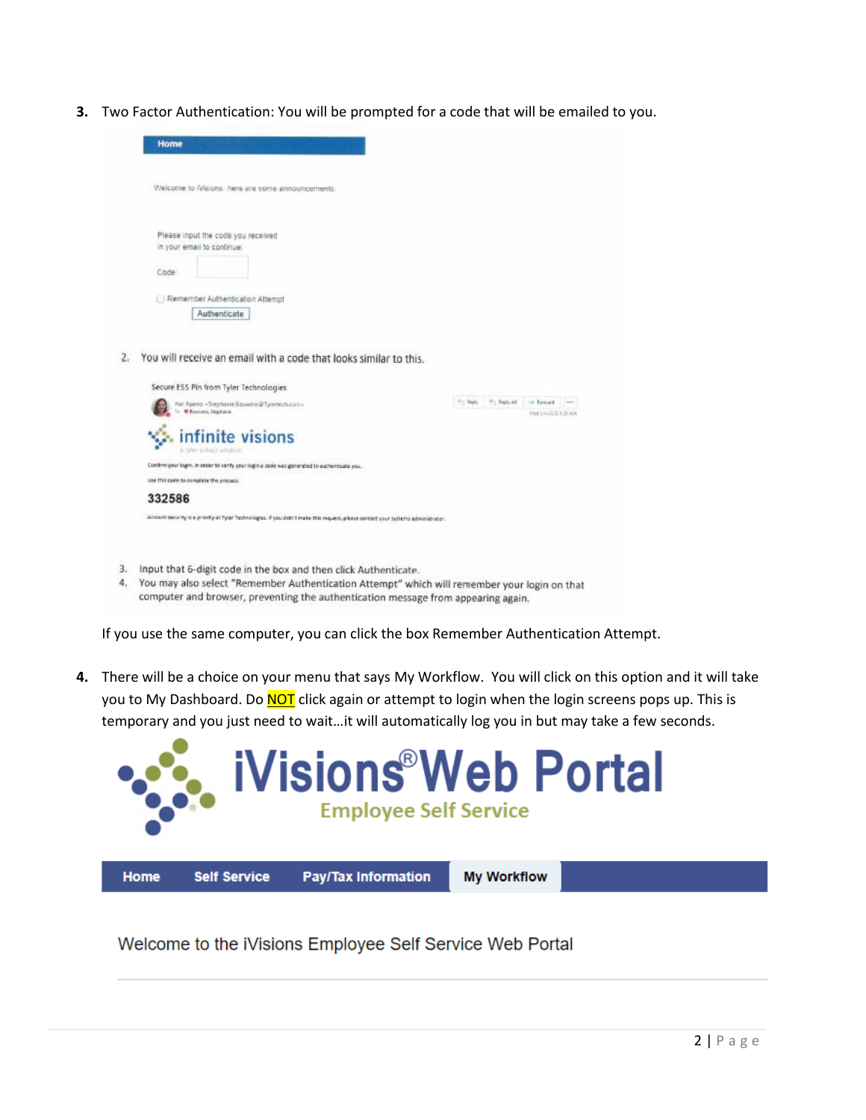**3.** Two Factor Authentication: You will be prompted for a code that will be emailed to you.

| Welcome to Misions here are some announcements                                                                                                                  |          |                          |                    |          |
|-----------------------------------------------------------------------------------------------------------------------------------------------------------------|----------|--------------------------|--------------------|----------|
| Please input the code you received<br>in your email to continue                                                                                                 |          |                          |                    |          |
| Code                                                                                                                                                            |          |                          |                    |          |
| Remember Authentication Attempt<br>Authenticate                                                                                                                 |          |                          |                    |          |
| You will receive an email with a code that looks similar to this.                                                                                               |          |                          |                    |          |
| Secure ESS Pin from Tyler Technologies                                                                                                                          |          |                          |                    |          |
|                                                                                                                                                                 | Franklin | <sup>41</sup> : Taply AZ | -> Family          | $\cdots$ |
| Hal Apena <stephanie.bauwers@tylerteiti.com><br/>To @ Bearvans Stephanie</stephanie.bauwers@tylerteiti.com>                                                     |          |                          | Fed 24 GCS 1.12 AM |          |
| infinite visions<br>a Velet school saturna                                                                                                                      |          |                          |                    |          |
| Confirm your login. In order to venty your login a code was generated to authenticate you.<br>Use this case to complete the process:                            |          |                          |                    |          |
| 332586                                                                                                                                                          |          |                          |                    |          |
| Account security is a printity at Tyler Technologies. If you click't make this request, please contact your systems administrator.                              |          |                          |                    |          |
| Input that 6-digit code in the box and then click Authenticate.<br>You may also select "Remember Authentication Attempt" which will remember your login on that |          |                          |                    |          |

If you use the same computer, you can click the box Remember Authentication Attempt.

**4.** There will be a choice on your menu that says My Workflow. You will click on this option and it will take you to My Dashboard. Do **NOT** click again or attempt to login when the login screens pops up. This is temporary and you just need to wait…it will automatically log you in but may take a few seconds.



Welcome to the iVisions Employee Self Service Web Portal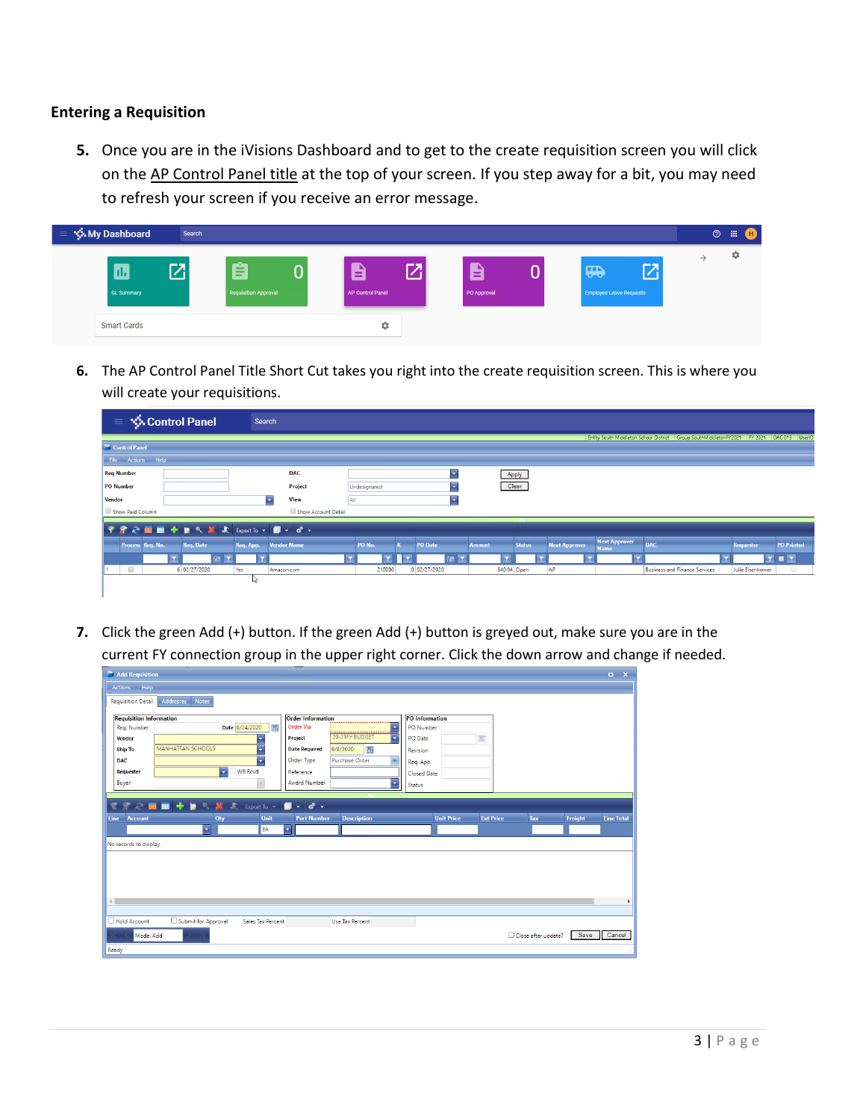## **Entering a Requisition**

**5.** Once you are in the iVisions Dashboard and to get to the create requisition screen you will click on the AP Control Panel title at the top of your screen. If you step away for a bit, you may need to refresh your screen if you receive an error message.

| <b>Solution</b> My Dashboard<br>v = N | Search    |                                            |          |                                  |   |                  |   |                                                                                 |               | $\circledcirc$ | 冊<br>(H) |
|---------------------------------------|-----------|--------------------------------------------|----------|----------------------------------|---|------------------|---|---------------------------------------------------------------------------------|---------------|----------------|----------|
| ш<br><b>GL Summary</b>                | <b>77</b> | ∼<br>-<br>-<br><b>Requisition Approval</b> | $\bf{0}$ | $\mathbf{B}$<br>AP Control Panel | 7 | 8<br>PO Approval | U | $\mathbf{Z}^{\prime}$<br>$\mathbf{m}$<br>$-5$<br><b>Employee Leave Requests</b> | $\rightarrow$ |                | ٠        |
| <b>Smart Cards</b>                    |           |                                            |          | ٠                                |   |                  |   |                                                                                 |               |                |          |

**6.** The AP Control Panel Title Short Cut takes you right into the create requisition screen. This is where you will create your requisitions.

| <b>S</b> Control Panel<br>$\equiv$                | Search              |              |              |                                |                                                             |                                                                   |                                       |
|---------------------------------------------------|---------------------|--------------|--------------|--------------------------------|-------------------------------------------------------------|-------------------------------------------------------------------|---------------------------------------|
|                                                   |                     |              |              |                                |                                                             | Entity South Middleton School District Group SouthMiddletonFY2021 | DAC 013<br>FY 2021<br>UserID          |
| Control Panel                                     |                     |              |              |                                |                                                             |                                                                   |                                       |
| File Actions Help                                 |                     |              |              |                                |                                                             |                                                                   |                                       |
| <b>Req Number</b>                                 | <b>DAC</b>          |              |              | Apply                          |                                                             |                                                                   |                                       |
| PO Number                                         | Project             | Undesignated |              | Clear                          |                                                             |                                                                   |                                       |
| Vendor                                            | View<br>l v         | All          | l vi         |                                |                                                             |                                                                   |                                       |
| Show Paid Column                                  | Show Account Detail |              |              |                                |                                                             |                                                                   |                                       |
|                                                   |                     |              |              |                                |                                                             |                                                                   |                                       |
| <b>Req. Date</b><br>Process Req. No.<br>Req. App. | <b>Vendor Name</b>  | PO No.       | PO Date      | <b>Status</b><br><b>Amount</b> | <b>Next Approver</b><br><b>Next Approver</b><br><b>Name</b> | <b>DAC</b>                                                        | <b>PO Printed</b><br><b>Requester</b> |
| 圖                                                 |                     |              | 圖            |                                |                                                             |                                                                   | <b>DIT</b>                            |
| $\qquad \qquad \Box$<br>6 02/27/2020<br>Yes       | Amazon.com          | 210000       | 0 02/27/2020 | \$40.94 Open                   | AP                                                          | <b>Business and Finance Services</b>                              | $\Box$<br>Julie Eisenhower            |
|                                                   | r p                 |              |              |                                |                                                             |                                                                   |                                       |
|                                                   |                     |              |              |                                |                                                             |                                                                   |                                       |

**7.** Click the green Add (+) button. If the green Add (+) button is greyed out, make sure you are in the current FY connection group in the upper right corner. Click the down arrow and change if needed.

| Add Requisition                                                                                                                                                                                                                                                                                                                                                                                                                                                             | $\Box$ $\times$   |
|-----------------------------------------------------------------------------------------------------------------------------------------------------------------------------------------------------------------------------------------------------------------------------------------------------------------------------------------------------------------------------------------------------------------------------------------------------------------------------|-------------------|
| Actions Help                                                                                                                                                                                                                                                                                                                                                                                                                                                                |                   |
| Addresses Notes<br><b>Requisition Detail</b>                                                                                                                                                                                                                                                                                                                                                                                                                                |                   |
| <b>Requisition Information</b><br><b>Order Information</b><br><b>PO</b> Information<br>.                                                                                                                                                                                                                                                                                                                                                                                    |                   |
| <b>TD</b><br>Date 8/24/2020<br><b>Order Via</b><br>圃<br>Rea. Number<br>PO Number                                                                                                                                                                                                                                                                                                                                                                                            |                   |
| 20-21FY BUDGET<br>۳<br>Project<br>PO Date<br>画<br><b>Vendor</b><br>٠                                                                                                                                                                                                                                                                                                                                                                                                        |                   |
| <b>MANHATTAN SCHOOLS</b><br>画<br>9/8/2020<br><b>Date Required</b><br><b>Ship To</b><br>۰<br>Revision                                                                                                                                                                                                                                                                                                                                                                        |                   |
| Order Type<br>Purchase Order<br><b>DAC</b><br>۰<br>Req. App.                                                                                                                                                                                                                                                                                                                                                                                                                |                   |
| W9 Rcvd<br>E<br>Reference<br>Requester<br>Closed Date                                                                                                                                                                                                                                                                                                                                                                                                                       |                   |
| ╔<br>Buyer<br><b>Award Number</b><br>Status                                                                                                                                                                                                                                                                                                                                                                                                                                 |                   |
|                                                                                                                                                                                                                                                                                                                                                                                                                                                                             |                   |
| $\mathbb{R} \otimes \blacksquare$ $\blacksquare$ $\blacksquare$ $\blacksquare$ $\blacksquare$ $\mathbb{R}$ $\triangleright$ $\mathbb{R}$ $\triangleright$ $\mathbb{R}$ $\triangleright$ $\mathbb{R}$ $\triangleright$ $\mathbb{R}$ $\triangleright$ $\mathbb{R}$ $\triangleright$ $\mathbb{R}$ $\triangleright$ $\mathbb{R}$ $\triangleright$ $\mathbb{R}$ $\triangleright$ $\mathbb{R}$ $\triangleright$ $\mathbb{R}$ $\triangleright$<br>常<br>$\blacksquare$ -<br>$d^2$ . |                   |
| Unit<br><b>Ext Price</b><br><b>Unit Price</b><br>Freight<br><b>Description</b><br>Qty<br>Tax<br>Line<br><b>Part Number</b><br>Account                                                                                                                                                                                                                                                                                                                                       | <b>Line Total</b> |
| $\overline{\phantom{a}}$<br>EA<br>н.                                                                                                                                                                                                                                                                                                                                                                                                                                        |                   |
| No records to display.                                                                                                                                                                                                                                                                                                                                                                                                                                                      |                   |
|                                                                                                                                                                                                                                                                                                                                                                                                                                                                             |                   |
|                                                                                                                                                                                                                                                                                                                                                                                                                                                                             |                   |
|                                                                                                                                                                                                                                                                                                                                                                                                                                                                             |                   |
|                                                                                                                                                                                                                                                                                                                                                                                                                                                                             |                   |
| $\leftarrow$                                                                                                                                                                                                                                                                                                                                                                                                                                                                |                   |
|                                                                                                                                                                                                                                                                                                                                                                                                                                                                             |                   |
| Submit for Approval<br>Hold Account<br>Sales Tax Percent<br><b>Use Tax Percent</b>                                                                                                                                                                                                                                                                                                                                                                                          |                   |
| Save<br>Close after update?<br>Mode: Add                                                                                                                                                                                                                                                                                                                                                                                                                                    | Cancel            |
| Ready                                                                                                                                                                                                                                                                                                                                                                                                                                                                       |                   |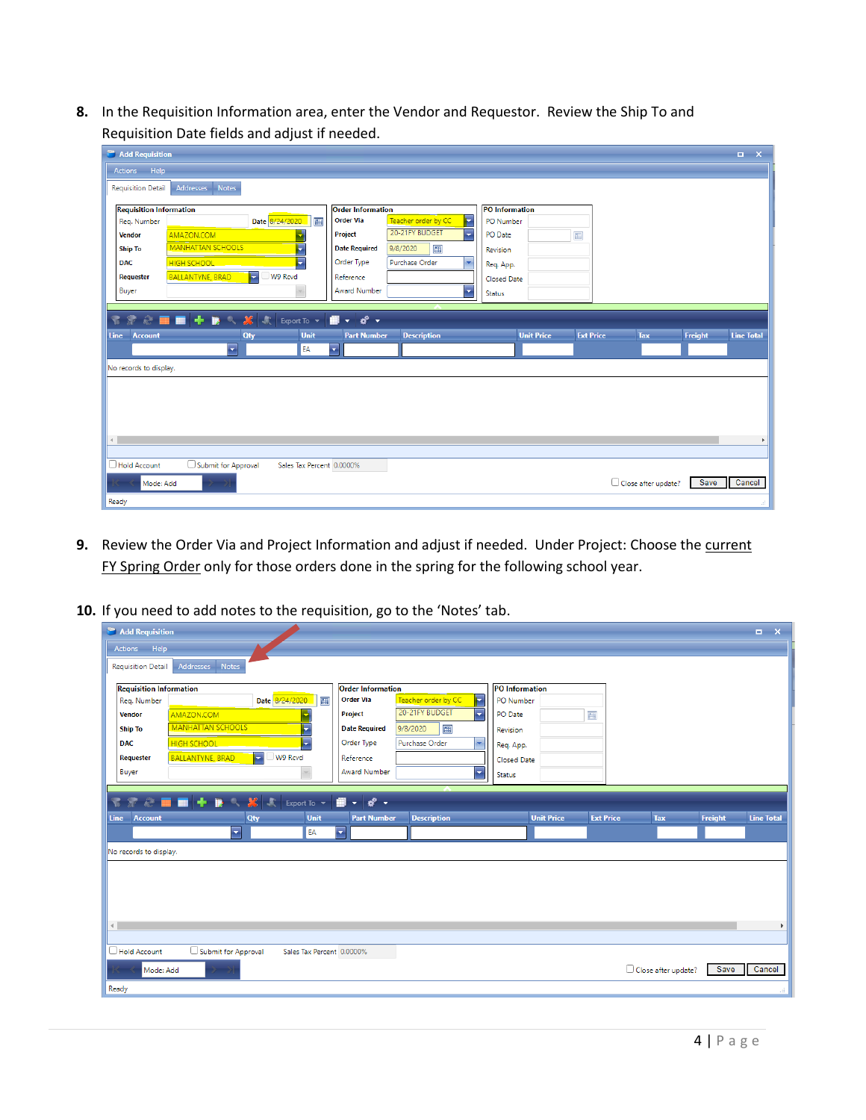**8.** In the Requisition Information area, enter the Vendor and Requestor. Review the Ship To and Requisition Date fields and adjust if needed.

| Add Requisition                                                                                                             |                                              |                                       | $\Box$ $\times$                            |  |  |  |  |
|-----------------------------------------------------------------------------------------------------------------------------|----------------------------------------------|---------------------------------------|--------------------------------------------|--|--|--|--|
| Actions Help                                                                                                                |                                              |                                       |                                            |  |  |  |  |
| Addresses Notes<br>Requisition Detail                                                                                       |                                              |                                       |                                            |  |  |  |  |
| <b>Requisition Information</b>                                                                                              | <b>Order Information</b>                     | <b>PO</b> Information                 |                                            |  |  |  |  |
| Date 8/24/2020<br>囲<br>Reg. Number                                                                                          | E<br><b>Order Via</b><br>Teacher order by CC | PO Number                             |                                            |  |  |  |  |
| AMAZON.COM<br><b>Vendor</b>                                                                                                 | 20-21FY BUDGET<br>Г<br>Project               | $\overline{\mathbb{H}}$<br>PO Date    |                                            |  |  |  |  |
| <b>MANHATTAN SCHOOLS</b><br>F<br><b>Ship To</b>                                                                             | 囲<br><b>Date Required</b><br>9/8/2020        | Revision                              |                                            |  |  |  |  |
| Ъ<br><b>HIGH SCHOOL</b><br><b>DAC</b>                                                                                       | Order Type<br>Purchase Order<br>×.           | Req. App.                             |                                            |  |  |  |  |
| Е<br>W9 Rcvd<br><b>BALLANTYNE, BRAD</b><br>Requester                                                                        | Reference                                    | Closed Date                           |                                            |  |  |  |  |
| Buyer                                                                                                                       | <b>Award Number</b><br>×                     | Status                                |                                            |  |  |  |  |
|                                                                                                                             |                                              |                                       |                                            |  |  |  |  |
| $\widehat{\mathcal{R}} \triangleq \blacksquare \blacksquare + \blacksquare \sim \mathcal{B}$<br>宅<br>欢<br>Export To $\star$ | $d^2$ .<br>▦<br>i vite                       |                                       |                                            |  |  |  |  |
| Unit<br><b>Line</b><br><b>Account</b><br>Qty                                                                                | <b>Part Number</b><br><b>Description</b>     | <b>Ext Price</b><br><b>Unit Price</b> | Freight<br><b>Line Total</b><br><b>Tax</b> |  |  |  |  |
| $\overline{\phantom{a}}$<br>EA                                                                                              | $\overline{\phantom{a}}$                     |                                       |                                            |  |  |  |  |
| No records to display.                                                                                                      |                                              |                                       |                                            |  |  |  |  |
|                                                                                                                             |                                              |                                       |                                            |  |  |  |  |
|                                                                                                                             |                                              |                                       |                                            |  |  |  |  |
|                                                                                                                             |                                              |                                       |                                            |  |  |  |  |
|                                                                                                                             |                                              |                                       |                                            |  |  |  |  |
| $\leftarrow$                                                                                                                |                                              |                                       | Þ.                                         |  |  |  |  |
|                                                                                                                             |                                              |                                       |                                            |  |  |  |  |
| Submit for Approval<br>Hold Account<br>Sales Tax Percent 0.0000%                                                            |                                              |                                       |                                            |  |  |  |  |
| Mode: Add                                                                                                                   |                                              |                                       | Save<br>Cancel<br>Close after update?      |  |  |  |  |
| Ready                                                                                                                       |                                              |                                       |                                            |  |  |  |  |

- **9.** Review the Order Via and Project Information and adjust if needed. Under Project: Choose the current FY Spring Order only for those orders done in the spring for the following school year.
- **10.** If you need to add notes to the requisition, go to the 'Notes' tab.

| Add Requisition                                               |                           |                                                |                          |                       |                  |                     |         | $\Box$ $\times$   |
|---------------------------------------------------------------|---------------------------|------------------------------------------------|--------------------------|-----------------------|------------------|---------------------|---------|-------------------|
| Actions Help                                                  |                           |                                                |                          |                       |                  |                     |         |                   |
| <b>Notes</b><br><b>Addresses</b><br><b>Requisition Detail</b> |                           |                                                |                          |                       |                  |                     |         |                   |
| <b>Requisition Information</b>                                |                           | <b>Order Information</b>                       |                          | <b>PO</b> Information |                  |                     |         |                   |
| Req. Number                                                   | Date 8/24/2020<br>圃       | <b>Order Via</b>                               | Teacher order by CC<br>F | PO Number             |                  |                     |         |                   |
| AMAZON.COM<br><b>Vendor</b>                                   |                           | Project                                        | 20-21FY BUDGET<br>۰.     | PO Date               | 画                |                     |         |                   |
| <b>MANHATTAN SCHOOLS</b><br><b>Ship To</b>                    | τ                         | <b>Date Required</b>                           | 圃<br>9/8/2020            | Revision              |                  |                     |         |                   |
| <b>HIGH SCHOOL</b><br><b>DAC</b>                              | п                         | Order Type                                     | Purchase Order<br>۰      | Req. App.             |                  |                     |         |                   |
| <b>BALLANTYNE, BRAD</b><br>Requester                          | E<br>W9 Rcvd              | Reference                                      |                          | Closed Date           |                  |                     |         |                   |
| Buyer                                                         |                           | Award Number                                   | ÷                        | <b>Status</b>         |                  |                     |         |                   |
| <b>Account</b><br><b>Line</b><br>H                            | Unit<br>Qty<br>EA         | <b>Part Number</b><br>$\overline{\phantom{0}}$ | <b>Description</b>       | <b>Unit Price</b>     | <b>Ext Price</b> | <b>Tax</b>          | Freight | <b>Line Total</b> |
| No records to display.                                        |                           |                                                |                          |                       |                  |                     |         |                   |
|                                                               |                           |                                                |                          |                       |                  |                     |         |                   |
|                                                               |                           |                                                |                          |                       |                  |                     |         |                   |
|                                                               |                           |                                                |                          |                       |                  |                     |         |                   |
|                                                               |                           |                                                |                          |                       |                  |                     |         |                   |
|                                                               |                           |                                                |                          |                       |                  |                     |         |                   |
| $\blacksquare$                                                |                           |                                                |                          |                       |                  |                     |         |                   |
| Submit for Approval                                           | Sales Tax Percent 0.0000% |                                                |                          |                       |                  |                     |         |                   |
| $\Box$ Hold Account<br>Mode: Add<br>×                         |                           |                                                |                          |                       |                  | Close after update? | Save    | r<br>Cancel       |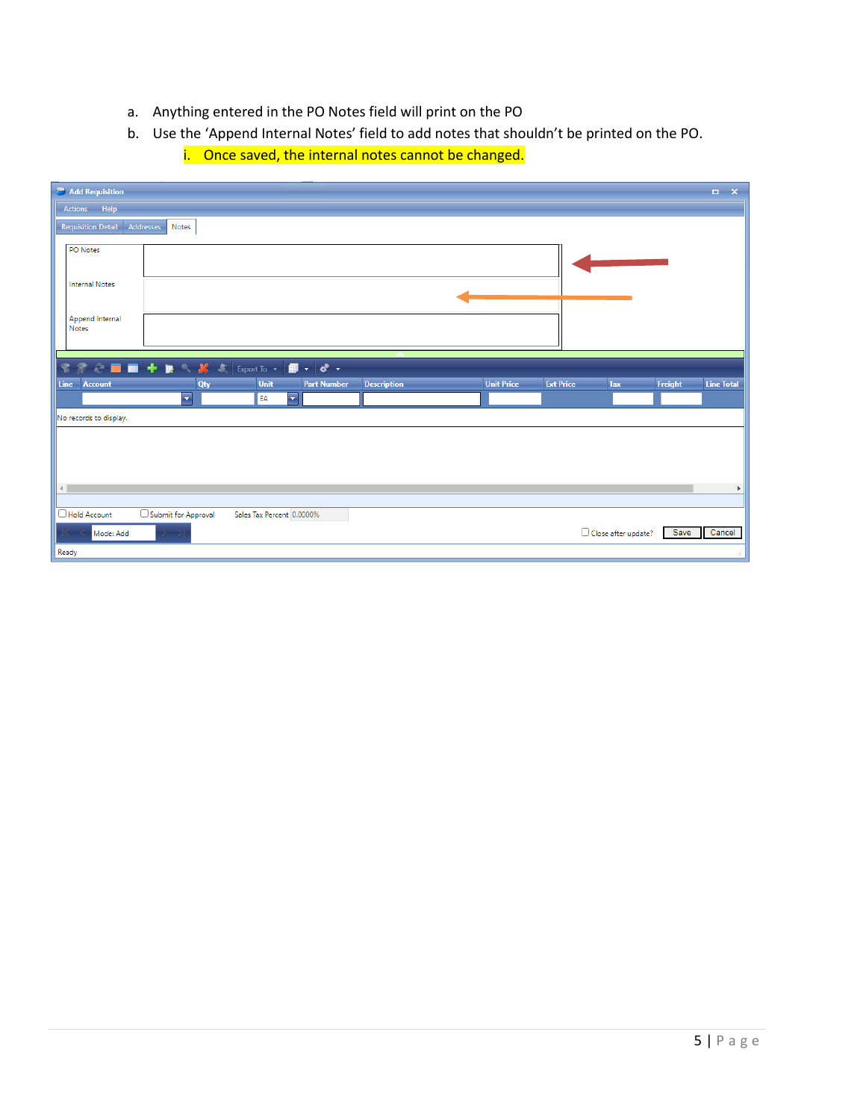- a. Anything entered in the PO Notes field will print on the PO
- b. Use the 'Append Internal Notes' field to add notes that shouldn't be printed on the PO.

| Add Requisition           |                                                                                                                                                                                                                                                                                                                                                                                                                                                                                                                                                                                                                    |                              |                    |                    |                   |                  |                     |         | $\Box$ $\times$       |
|---------------------------|--------------------------------------------------------------------------------------------------------------------------------------------------------------------------------------------------------------------------------------------------------------------------------------------------------------------------------------------------------------------------------------------------------------------------------------------------------------------------------------------------------------------------------------------------------------------------------------------------------------------|------------------------------|--------------------|--------------------|-------------------|------------------|---------------------|---------|-----------------------|
| Actions Help              |                                                                                                                                                                                                                                                                                                                                                                                                                                                                                                                                                                                                                    |                              |                    |                    |                   |                  |                     |         |                       |
| <b>Requisition Detail</b> | Addresses<br>Notes                                                                                                                                                                                                                                                                                                                                                                                                                                                                                                                                                                                                 |                              |                    |                    |                   |                  |                     |         |                       |
| <b>PO</b> Notes           |                                                                                                                                                                                                                                                                                                                                                                                                                                                                                                                                                                                                                    |                              |                    |                    |                   |                  |                     |         |                       |
| <b>Internal Notes</b>     |                                                                                                                                                                                                                                                                                                                                                                                                                                                                                                                                                                                                                    |                              |                    |                    |                   |                  |                     |         |                       |
| Append Internal<br>Notes  |                                                                                                                                                                                                                                                                                                                                                                                                                                                                                                                                                                                                                    |                              |                    |                    |                   |                  |                     |         |                       |
| 常                         | $\textcolor{blue}{\textbf{\textcircled{F}} \textcolor{blue}{\textcircled{F}} \textcolor{blue}{\blacksquare}} + \textcolor{blue}{\textbf{B}} \textcolor{red}{\textcircled{F}} \textcolor{blue}{\blacksquare} \textcolor{red}{\blacksquare} \textcolor{red}{\blacksquare} \textcolor{red}{\blacksquare} \textcolor{red}{\blacksquare} \textcolor{red}{\blacksquare} \textcolor{red}{\blacksquare} \textcolor{red}{\blacksquare} \textcolor{red}{\blacksquare} \textcolor{red}{\blacksquare} \textcolor{red}{\blacksquare} \textcolor{red}{\blacksquare} \textcolor{red}{\blacksquare} \textcolor{red}{\blacksquare}$ |                              |                    |                    |                   |                  |                     |         |                       |
| <b>Line</b><br>Account    | <b>Qty</b><br>E                                                                                                                                                                                                                                                                                                                                                                                                                                                                                                                                                                                                    | Unit<br>$\blacksquare$<br>EA | <b>Part Number</b> | <b>Description</b> | <b>Unit Price</b> | <b>Ext Price</b> | <b>Tax</b>          | Freight | <b>Line Total</b>     |
| No records to display.    |                                                                                                                                                                                                                                                                                                                                                                                                                                                                                                                                                                                                                    |                              |                    |                    |                   |                  |                     |         |                       |
|                           |                                                                                                                                                                                                                                                                                                                                                                                                                                                                                                                                                                                                                    |                              |                    |                    |                   |                  |                     |         |                       |
| $\leftarrow$              |                                                                                                                                                                                                                                                                                                                                                                                                                                                                                                                                                                                                                    |                              |                    |                    |                   |                  |                     |         | $\blacktriangleright$ |
| Hold Account              | Submit for Approval                                                                                                                                                                                                                                                                                                                                                                                                                                                                                                                                                                                                | Sales Tax Percent 0.0000%    |                    |                    |                   |                  |                     |         |                       |
| Mode: Add                 |                                                                                                                                                                                                                                                                                                                                                                                                                                                                                                                                                                                                                    |                              |                    |                    |                   |                  | Close after update? | Save    | Cancel                |
| Ready                     |                                                                                                                                                                                                                                                                                                                                                                                                                                                                                                                                                                                                                    |                              |                    |                    |                   |                  |                     |         | af.                   |

i. Once saved, the internal notes cannot be changed.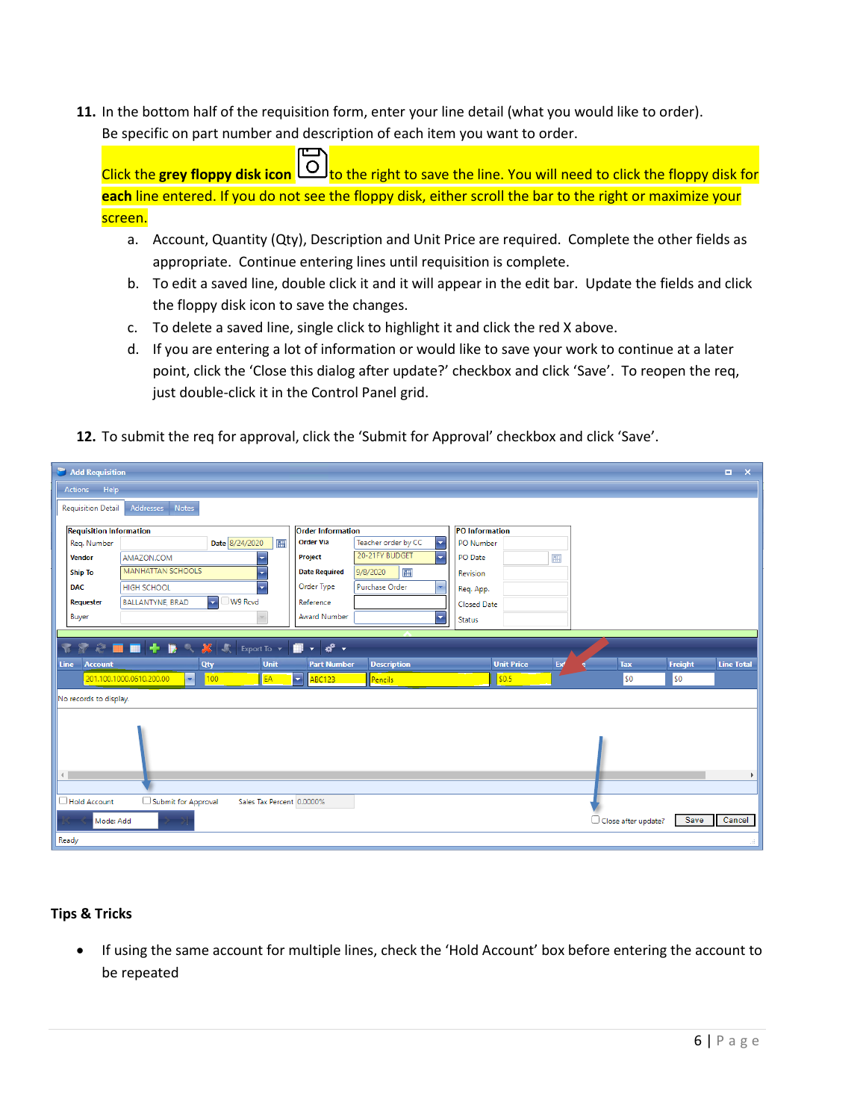**11.** In the bottom half of the requisition form, enter your line detail (what you would like to order). Be specific on part number and description of each item you want to order.

Click the grey floppy disk icon  $\boxed{\circ}$  to the right to save the line. You will need to click the floppy disk for **each** line entered. If you do not see the floppy disk, either scroll the bar to the right or maximize your screen.

- a. Account, Quantity (Qty), Description and Unit Price are required. Complete the other fields as appropriate. Continue entering lines until requisition is complete.
- b. To edit a saved line, double click it and it will appear in the edit bar. Update the fields and click the floppy disk icon to save the changes.
- c. To delete a saved line, single click to highlight it and click the red X above.
- d. If you are entering a lot of information or would like to save your work to continue at a later point, click the 'Close this dialog after update?' checkbox and click 'Save'. To reopen the req, just double-click it in the Control Panel grid.
- **12.** To submit the req for approval, click the 'Submit for Approval' checkbox and click 'Save'.

|              | Add Requisition                |                                                    |                           |                           |                                                              |                     |                          |                       |     |                     |         | $\Box$ $\times$   |
|--------------|--------------------------------|----------------------------------------------------|---------------------------|---------------------------|--------------------------------------------------------------|---------------------|--------------------------|-----------------------|-----|---------------------|---------|-------------------|
|              | Actions Help                   |                                                    |                           |                           |                                                              |                     |                          |                       |     |                     |         |                   |
|              | Requisition Detail             | Addresses Notes                                    |                           |                           |                                                              |                     |                          |                       |     |                     |         |                   |
|              | <b>Requisition Information</b> |                                                    |                           |                           | <b>Order Information</b>                                     |                     |                          | <b>PO</b> Information |     |                     |         |                   |
|              | Reg. Number                    |                                                    | Date 8/24/2020            | 前                         | <b>Order Via</b>                                             | Teacher order by CC | $\overline{\phantom{a}}$ | PO Number             |     |                     |         |                   |
|              | <b>Vendor</b>                  | AMAZON.COM                                         |                           | $\overline{\phantom{a}}$  | Project                                                      | 20-21FY BUDGET      | H                        | <b>PO</b> Date        | 圃   |                     |         |                   |
|              | <b>Ship To</b>                 | <b>MANHATTAN SCHOOLS</b>                           |                           | ٠                         | <b>Date Required</b>                                         | 圃<br>9/8/2020       |                          | Revision              |     |                     |         |                   |
| <b>DAC</b>   |                                | <b>HIGH SCHOOL</b>                                 |                           | ÷                         | Order Type                                                   | Purchase Order      |                          | Req. App.             |     |                     |         |                   |
|              | Requester                      | <b>BALLANTYNE, BRAD</b>                            | $\blacksquare$<br>W9 Rcvd |                           | Reference                                                    |                     |                          | <b>Closed Date</b>    |     |                     |         |                   |
|              | Buyer                          |                                                    |                           |                           | <b>Award Number</b>                                          |                     | ÷                        | Status                |     |                     |         |                   |
|              |                                |                                                    |                           |                           |                                                              |                     |                          |                       |     |                     |         |                   |
|              | $\bullet$                      | ◎■■十勝へ終                                            | 欢                         | Export To $\sqrt{}$       | 僵<br>$\mathbf{d}^{\mathbf{0}}$ .<br>$\overline{\phantom{a}}$ |                     |                          |                       |     |                     |         |                   |
| <b>Line</b>  | <b>Account</b>                 |                                                    | Qty                       | Unit                      | <b>Part Number</b>                                           | <b>Description</b>  |                          | <b>Unit Price</b>     | Ext | <b>Tax</b>          | Freight | <b>Line Total</b> |
|              |                                | 201.100.1000.0610.200.00<br>$\left  \cdot \right $ | 100 <sub>1</sub>          | EA                        | $\left  \rule{0.2cm}{0.2cm} \right $<br>ABC123               | Pencils             |                          | 50.5                  |     | \$0                 | \$0     |                   |
|              | No records to display.         |                                                    |                           |                           |                                                              |                     |                          |                       |     |                     |         |                   |
|              |                                |                                                    |                           |                           |                                                              |                     |                          |                       |     |                     |         |                   |
|              |                                |                                                    |                           |                           |                                                              |                     |                          |                       |     |                     |         |                   |
|              |                                |                                                    |                           |                           |                                                              |                     |                          |                       |     |                     |         |                   |
|              |                                |                                                    |                           |                           |                                                              |                     |                          |                       |     |                     |         |                   |
| $\leftarrow$ |                                |                                                    |                           |                           |                                                              |                     |                          |                       |     |                     |         | ь                 |
|              |                                |                                                    |                           |                           |                                                              |                     |                          |                       |     |                     |         |                   |
|              | Hold Account                   | Submit for Approval                                |                           | Sales Tax Percent 0.0000% |                                                              |                     |                          |                       |     |                     |         |                   |
|              | Mode: Add                      |                                                    |                           |                           |                                                              |                     |                          |                       |     | Close after update? | Save    | Cancel            |
| Ready        |                                |                                                    |                           |                           |                                                              |                     |                          |                       |     |                     |         |                   |

### **Tips & Tricks**

• If using the same account for multiple lines, check the 'Hold Account' box before entering the account to be repeated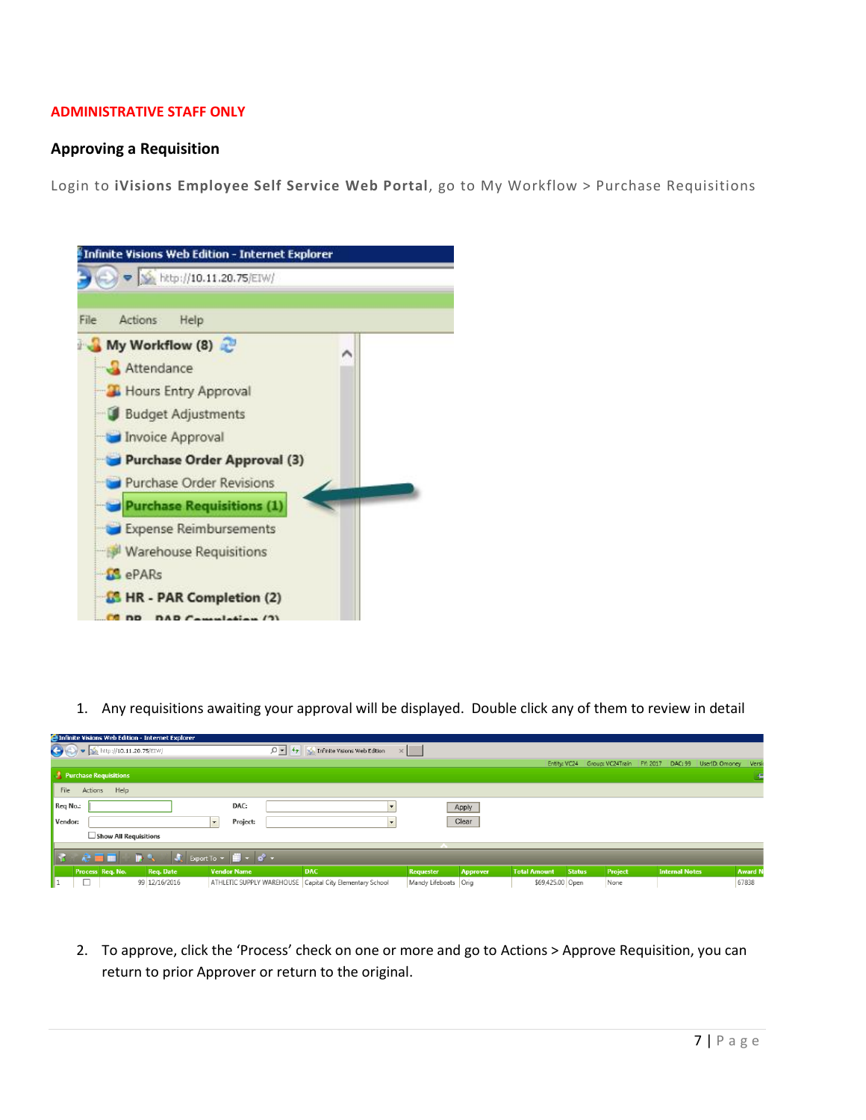#### **ADMINISTRATIVE STAFF ONLY**

#### **Approving a Requisition**

Login to **iVisions Employee Self Service Web Portal**, go to My Workflow > Purchase Requisitions



1. Any requisitions awaiting your approval will be displayed. Double click any of them to review in detail

|          |                                                                                                                                                                                                                                                                                                                                                     | <b>Explorer</b> Principle Visions Web Edition - Internet Explorer |                                                                  |                                                                                            |                      |                 |                     |               |                                        |                                  |         |
|----------|-----------------------------------------------------------------------------------------------------------------------------------------------------------------------------------------------------------------------------------------------------------------------------------------------------------------------------------------------------|-------------------------------------------------------------------|------------------------------------------------------------------|--------------------------------------------------------------------------------------------|----------------------|-----------------|---------------------|---------------|----------------------------------------|----------------------------------|---------|
|          | $\begin{picture}(100,10) \put(0,0){\line(1,0){10}} \put(15,0){\line(1,0){10}} \put(15,0){\line(1,0){10}} \put(15,0){\line(1,0){10}} \put(15,0){\line(1,0){10}} \put(15,0){\line(1,0){10}} \put(15,0){\line(1,0){10}} \put(15,0){\line(1,0){10}} \put(15,0){\line(1,0){10}} \put(15,0){\line(1,0){10}} \put(15,0){\line(1,0){10}} \put(15,0){\line($ |                                                                   |                                                                  | $\Box$ $\blacktriangleright$ $\blacktriangleright$ $\Diamond$ Infinite Visions Web Edition | $\times$             |                 |                     |               |                                        |                                  |         |
|          |                                                                                                                                                                                                                                                                                                                                                     |                                                                   |                                                                  |                                                                                            |                      |                 |                     |               | Entity: VC24 Group: VC24Train FY: 2017 | DAC: 99<br>UserID: Omoney Versit |         |
|          | Purchase Requisitions                                                                                                                                                                                                                                                                                                                               |                                                                   |                                                                  |                                                                                            |                      |                 |                     |               |                                        |                                  |         |
| File     | Actions<br>Help                                                                                                                                                                                                                                                                                                                                     |                                                                   |                                                                  |                                                                                            |                      |                 |                     |               |                                        |                                  |         |
| Req No.: |                                                                                                                                                                                                                                                                                                                                                     |                                                                   | DAC:                                                             |                                                                                            |                      | Apply           |                     |               |                                        |                                  |         |
| Vendor:  |                                                                                                                                                                                                                                                                                                                                                     |                                                                   | Project:<br>$\mathbf{r}$                                         |                                                                                            |                      | Clear           |                     |               |                                        |                                  |         |
|          | Show All Requisitions                                                                                                                                                                                                                                                                                                                               |                                                                   |                                                                  |                                                                                            |                      |                 |                     |               |                                        |                                  |         |
|          |                                                                                                                                                                                                                                                                                                                                                     |                                                                   |                                                                  |                                                                                            |                      |                 |                     |               |                                        |                                  |         |
|          | 200                                                                                                                                                                                                                                                                                                                                                 |                                                                   | $\sqrt{2}$ Export To $\sqrt{2}$ $\sqrt{2}$ $\sqrt{2}$ $\sqrt{2}$ |                                                                                            |                      |                 |                     |               |                                        |                                  |         |
|          | Process Req. No.                                                                                                                                                                                                                                                                                                                                    | Req. Date                                                         | <b>Vendor Name</b>                                               | <b>DAC</b>                                                                                 | <b>Requester</b>     | <b>Approver</b> | <b>Total Amount</b> | <b>Status</b> | Project                                | <b>Internal Notes</b>            | Award N |
| ll 1.    |                                                                                                                                                                                                                                                                                                                                                     | 99 12/16/2016                                                     |                                                                  | ATHLETIC SUPPLY WAREHOUSE Capital City Elementary School                                   | Mandy Lifeboats Orig |                 | \$69,425.00 Open    |               | None                                   |                                  | 67838   |

2. To approve, click the 'Process' check on one or more and go to Actions > Approve Requisition, you can return to prior Approver or return to the original.